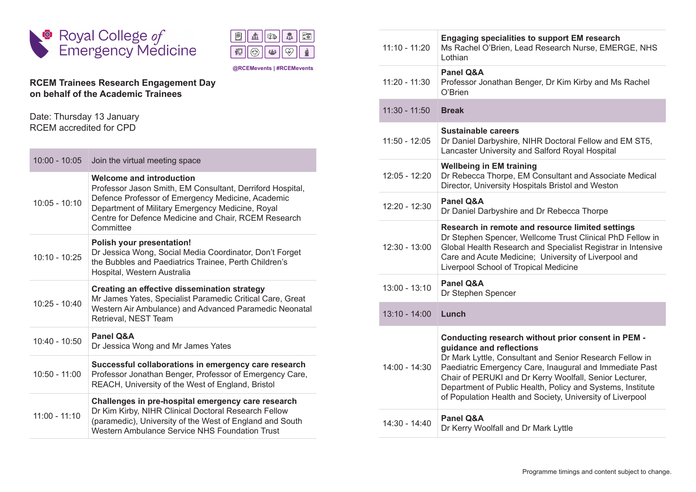

|  | - | ້ |
|--|---|---|
|  |   |   |

**@RCEMevents | #RCEMevents**

## **RCEM Trainees Research Engagement Day on behalf of the Academic Trainees**

Date: Thursday 13 January RCEM accredited for CPD

| $10:00 - 10:05$ | Join the virtual meeting space                                                                                                                                                                                                                                      |
|-----------------|---------------------------------------------------------------------------------------------------------------------------------------------------------------------------------------------------------------------------------------------------------------------|
| $10:05 - 10:10$ | Welcome and introduction<br>Professor Jason Smith, EM Consultant, Derriford Hospital,<br>Defence Professor of Emergency Medicine, Academic<br>Department of Military Emergency Medicine, Royal<br>Centre for Defence Medicine and Chair, RCEM Research<br>Committee |
| $10:10 - 10:25$ | Polish your presentation!<br>Dr Jessica Wong, Social Media Coordinator, Don't Forget<br>the Bubbles and Paediatrics Trainee, Perth Children's<br>Hospital, Western Australia                                                                                        |
| $10:25 - 10:40$ | <b>Creating an effective dissemination strategy</b><br>Mr James Yates, Specialist Paramedic Critical Care, Great<br>Western Air Ambulance) and Advanced Paramedic Neonatal<br>Retrieval, NEST Team                                                                  |
| $10:40 - 10:50$ | Panel O&A<br>Dr Jessica Wong and Mr James Yates                                                                                                                                                                                                                     |
| $10:50 - 11:00$ | Successful collaborations in emergency care research<br>Professor Jonathan Benger, Professor of Emergency Care,<br>REACH, University of the West of England, Bristol                                                                                                |
| $11:00 - 11:10$ | Challenges in pre-hospital emergency care research<br>Dr Kim Kirby, NIHR Clinical Doctoral Research Fellow<br>(paramedic), University of the West of England and South<br>Western Ambulance Service NHS Foundation Trust                                            |

| $11:10 - 11:20$ | <b>Engaging specialities to support EM research</b><br>Ms Rachel O'Brien, Lead Research Nurse, EMERGE, NHS<br>Lothian                                                                                                                                                                                                                                                                       |
|-----------------|---------------------------------------------------------------------------------------------------------------------------------------------------------------------------------------------------------------------------------------------------------------------------------------------------------------------------------------------------------------------------------------------|
| $11:20 - 11:30$ | Panel Q&A<br>Professor Jonathan Benger, Dr Kim Kirby and Ms Rachel<br>O'Brien                                                                                                                                                                                                                                                                                                               |
| $11:30 - 11:50$ | <b>Break</b>                                                                                                                                                                                                                                                                                                                                                                                |
| $11:50 - 12:05$ | Sustainable careers<br>Dr Daniel Darbyshire, NIHR Doctoral Fellow and EM ST5,<br>Lancaster University and Salford Royal Hospital                                                                                                                                                                                                                                                            |
| 12:05 - 12:20   | <b>Wellbeing in EM training</b><br>Dr Rebecca Thorpe, EM Consultant and Associate Medical<br>Director, University Hospitals Bristol and Weston                                                                                                                                                                                                                                              |
| 12:20 - 12:30   | <b>Panel Q&amp;A</b><br>Dr Daniel Darbyshire and Dr Rebecca Thorpe                                                                                                                                                                                                                                                                                                                          |
| $12:30 - 13:00$ | Research in remote and resource limited settings<br>Dr Stephen Spencer, Wellcome Trust Clinical PhD Fellow in<br>Global Health Research and Specialist Registrar in Intensive<br>Care and Acute Medicine; University of Liverpool and<br>Liverpool School of Tropical Medicine                                                                                                              |
| $13:00 - 13:10$ | <b>Panel Q&amp;A</b><br>Dr Stephen Spencer                                                                                                                                                                                                                                                                                                                                                  |
| $13:10 - 14:00$ | Lunch                                                                                                                                                                                                                                                                                                                                                                                       |
| $14:00 - 14:30$ | Conducting research without prior consent in PEM -<br>guidance and reflections<br>Dr Mark Lyttle, Consultant and Senior Research Fellow in<br>Paediatric Emergency Care, Inaugural and Immediate Past<br>Chair of PERUKI and Dr Kerry Woolfall, Senior Lecturer,<br>Department of Public Health, Policy and Systems, Institute<br>of Population Health and Society, University of Liverpool |
| 14:30 - 14:40   | Panel O&A<br>Dr Kerry Woolfall and Dr Mark Lyttle                                                                                                                                                                                                                                                                                                                                           |
|                 |                                                                                                                                                                                                                                                                                                                                                                                             |